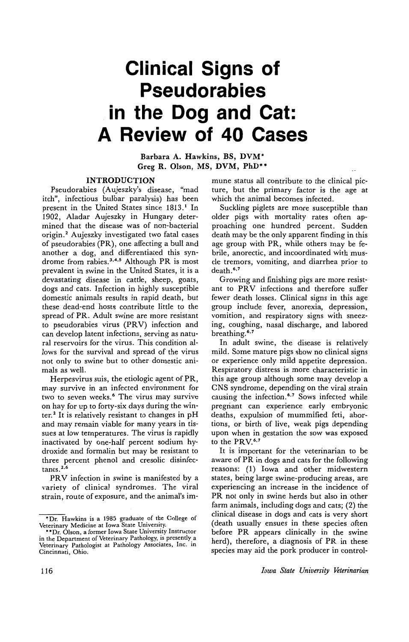# **Clinical Signs of Pseudorabies in the Dog and Cat: A Review of 40 Cases**

Barbara A. Hawkins, BS, DVM· Greg R. Olson, MS, DVM, PhD\*\*

## INTRODUCTION

Pseudorabies (Aujeszky's disease, "mad itch", infectious bulbar paralysis) has been present in the United States since 1813.<sup>1</sup> In 1902, Aladar Aujeszky in Hungary determined that the disease was of non-bacterial origin.<sup>2</sup> Aujeszky investigated two fatal cases of pseudorabies (PR), one affecting a bull and another a dog, and differentiated this syndrome from rabies.3.4·5 Although PR is most prevalent in swine in the United States, it is a devastating disease in cattle, sheep, goats, dogs and cats. Infection in highly susceptible domestic animals results in rapid death, but these dead-end hosts contribute little to the spread of PR. Adult swine are more resistant to pseudorabies virus (PRV) infection and can develop latent infections, serving as natural reservoirs for the virus. This condition allows for the survival and spread of the virus not only to swine but to other domestic animals as well.

Herpesvirus suis, the etiologic agent of PR, may survive in an infected environment for two to seven weeks.<sup>6</sup> The virus may survive on hay for up to forty-six days during the winter.<sup>2</sup> It is relatively resistant to changes in  $pH$ and may remain viable for many years in tissues at low temperatures. The virus is rapidly inactivated by one-half percent sodium hydroxide and formalin but may be resistant to three percent phenol and cresolic disinfectants.<sup>2.6</sup>

PRV infection in swine is manifested by a variety of clinical syndromes. The viral strain, route of exposure, and the animal's immune status all contribute to the clinical picture, but the primary factor is the age at which the animal becomes infected.

Suckling piglets are more susceptible than older pigs with mortality rates often approaching one hundred percent. Sudden death may be the only apparent finding in this age group with PR, while others may be febrile, anorectic, and incoordinated with muscle tremors, vomiting, and diarrhea prior to death.<sup>6,7</sup>

Growing and finishing pigs are more resistant to PRV infections and therefore suffer fewer death losses. Clinical signs in this age group include fever, anorexia, depression, vomition, and respiratory signs with sneezing, coughing, nasal discharge, and labored breathing.<sup>6,7</sup>

In adult swine, the disease is relatively mild. Some mature pigs show no clinical signs or experience only mild appetite depression. Respiratory distress is more characteristic in this age group although some may develop a CNS syndrome, depending on the viral strain causing the infection.<sup>6,7</sup> Sows infected while pregriant can experience early embryonic deaths, expulsion of mummified feti, abortions, or birth of live, weak pigs depending upon when in gestation the sow was exposed to the PRV.<sup>6,7</sup>

It is important for the veterinarian to be aware of PR in dogs and cats for the following reasons: (1) Iowa and other midwestern states, being large swine-producing areas, are experiencing an increase in the incidence of PR not only in swine herds but also in other farm animals, including dogs and cats; (2) the clinical disease in dogs and cats is very short (death usually ensues in these species often before PR appears clinically in the swine herd), therefore, a diagnosis of PR in these species may aid the pork producer in control-

<sup>&#</sup>x27;Dr. Hawkins is a 1985 graduate of the College of Veterinary Medicine at Iowa State University. ·'Dr. Olson, a former Iowa State University Instructor

in the Department of Veterinary Pathology, is presently a Veterinary Pathologist at Pathology Associates, Inc. in Cincinnati, Ohio.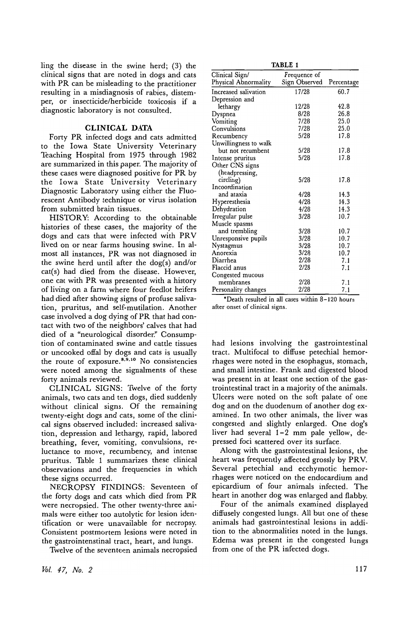ling the disease in the swine herd; (3) the clinical signs that are noted in dogs and cats with PR can be misleading to the practitioner resulting in a misdiagnosis of rabies, distemper, or insecticide/herbicide toxicosis if a diagnostic laboratory is not consulted.

# **CLINICAL DATA**

Forty PR infected dogs and cats admitted to the Iowa State University Veterinary Teaching Hospital from 1975 through 1982 are summarized in this paper. The majority of these cases were diagnosed positive for PR by the Iowa State University Veterinary Diagnostic Laboratory using either the Fluorescent Antibody technique or virus isolation from submitted brain tissues.

HISTORY: According to the obtainable histories of these cases, the majority of the dogs and cats that were infected with PRV lived on or near farms housing swine. In almost all instances, PR was not diagnosed in the swine herd until after the dog(s) and/or cat(s) had died from the disease. However, one cat with PR was presented with a history of living on a farm where four feedlot heifers had died after showing signs of profuse salivation, pruritus, and self-mutilation. Another case involved a dog dying of PR that had contact with two of the neighbors' calves that had died of a "neurological disorder." Consumption of contaminated swine and cattle tissues or uncooked offal by dogs and cats is usually the route of exposure.<sup>8,9,10</sup> No consistencies were noted among the signalments of these forty animals reviewed.

CLINICAL SIGNS: Twelve of the forty animals, two cats and ten dogs, died suddenly without clinical signs. Of the remaining twenty-eight dogs and cats, some of the clinical signs observed included: increased salivation, depression and lethargy, rapid, labored breathing, fever, vomiting, convulsions, re, luctance to move, recumbency, and intense pruritus. Table 1 summarizes these clinical observations and the frequencies in which these signs occurred.

NECROPSY FINDINGS: Seventeen of the forty dogs and cats which died from PR were necropsied. The other twenty-three animals were either too autolytic for lesion identification or were unavailable for necropsy. Consistent postmortem lesions were noted in the gastrointenstinal tract, heart, and lungs.

Twelve of the seventeen animals necropsied

*Mil.* 47, *No. 2* 

TABLE 1

| ------                |               |            |  |  |  |  |  |  |
|-----------------------|---------------|------------|--|--|--|--|--|--|
| Clinical Sign/        | Frequence of  |            |  |  |  |  |  |  |
| Physical Abnormality  | Sign Observed | Percentage |  |  |  |  |  |  |
| Increased salivation  | 17/28         | 60.7       |  |  |  |  |  |  |
| Depression and        |               |            |  |  |  |  |  |  |
| lethargy              | 12/28         | 42.8       |  |  |  |  |  |  |
| Dyspnea               | 8/28          | 26.8       |  |  |  |  |  |  |
| Vomiting              | 7/28          | 25.0       |  |  |  |  |  |  |
| Convulsions           | 7/28          | 25.0       |  |  |  |  |  |  |
| Recumbency            | 5/28          | 17.8       |  |  |  |  |  |  |
| Unwillingness to walk |               |            |  |  |  |  |  |  |
| but not recumbent     | 5/28          | 17.8       |  |  |  |  |  |  |
| Intense pruritus      | 5/28          | 17.8       |  |  |  |  |  |  |
| Other CNS signs       |               |            |  |  |  |  |  |  |
| (headpressing,        |               |            |  |  |  |  |  |  |
| circling)             | 5/28          | 17.8       |  |  |  |  |  |  |
| Incoordination        |               |            |  |  |  |  |  |  |
| and ataxia            | 4/28          | 14.3       |  |  |  |  |  |  |
| Hyperesthesia         | 4/28          | 14.3       |  |  |  |  |  |  |
| Dehydration           | 4/28          | 14.3       |  |  |  |  |  |  |
| Irregular pulse       | 3/28          | 10.7       |  |  |  |  |  |  |
| Muscle spasms         |               |            |  |  |  |  |  |  |
| and trembling         | 3/28          | 10.7       |  |  |  |  |  |  |
| Unresponsive pupils   | 3/28          | 10.7       |  |  |  |  |  |  |
| Nystagmus             | 3/28          | 10.7       |  |  |  |  |  |  |
| Anorexia              | 3/28          | 10.7       |  |  |  |  |  |  |
| Diarrhea              | 2/28          | 7.1        |  |  |  |  |  |  |
| Flaccid anus          | 2/28          | 7.1        |  |  |  |  |  |  |
| Congested mucous      |               |            |  |  |  |  |  |  |
| membranes             | 2/28          | 7.1        |  |  |  |  |  |  |
| Personality changes   | 2/28          | 7.1        |  |  |  |  |  |  |

·Death resulted in all cases within 8-120 hours after onset of clinical signs.

had lesions involving the gastrointestinal tract. Multifocal to diffuse petechial hemorrhages were noted in the esophagus, stomach, and small intestine. Frank and digested blood was present in at least one section of the gastrointestinal tract in a majority of the animals. Ulcers were noted on the soft palate of one dog and on the duodenum of another dog examined. In two other animals, the liver was congested and slightly enlarged. One dog's liver had several 1-2 mm pale yellow, depressed foci scattered over its surface.

Along with the gastrointestinal lesions, the heart was frequently affected grossly by PRV. Several petechial and ecchymotic hemorrhages were noticed on the endocardium and epicardium of four animals infected. The heart in another dog was enlarged and flabby.

Four of the animals examined displayed diffusely congested lungs. All but one of these animals had gastrointestinal lesions in addition to the abnormalities noted in the lungs. Edema was present in the congested lungs from one of the PR infected dogs.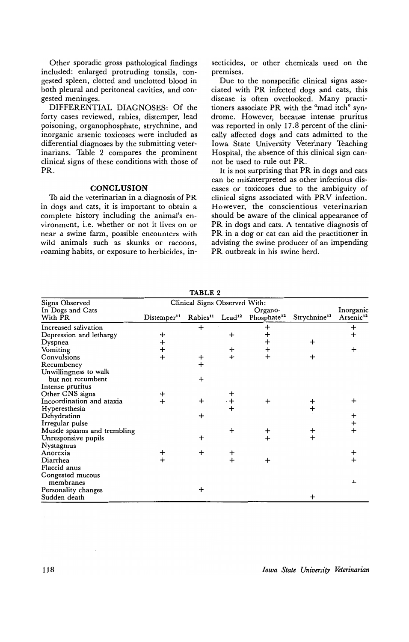Other sporadic gross pathological findings included: enlarged protruding tonsils, congested spleen, clotted and unclotted blood in both pleural and peritoneal cavities, and congested meninges.

DIFFERENTIAL DIAGNOSES: Of the forty cases reviewed, rabies, distemper, lead poisoning, organophosphate, strychnine, and inorganic arsenic toxicoses were included as differential diagnoses by the submitting veterinarians. Table 2 compares the prominent clinical signs of these conditions with those of PR.

#### **CONCLUSION**

To aid the veterinarian in a diagnosis of PR in dogs and cats, it is important to obtain a complete history including the animal's environment, i.e. whether or not it lives on or near a swine farm, possible encounters with wild animals such as skunks or racoons, roaming habits, or exposure to herbicides, insecticides, or other chemicals used on the premises.

Due to the nonspecific clinical signs associated with PR infected dogs and cats, this disease is often overlooked. Many practitioners associate PR with the "mad itch" syndrome. However, because intense pruritus was reported in only 17.8 percent of the clinically affected dogs and cats admitted to the Iowa State University Veterinary Teaching Hospital, the absence of this clinical sign cannot be used to rule out PR.

It is not surprising that PR in dogs and cats can be misinterpreted as other infectious diseases or toxicoses due to the ambiguity of clinical signs associated with PRV infection. However, the conscientious veterinarian should be aware of the clinical appearance of PR in dogs and cats. A tentative diagnosis of PR in a dog or cat can aid the practitioner in advising the swine producer of an impending PR outbreak in his swine herd.

| Signs Observed              | Clinical Signs Observed With: |                      |                    |                         |                          |                                    |  |  |
|-----------------------------|-------------------------------|----------------------|--------------------|-------------------------|--------------------------|------------------------------------|--|--|
| In Dogs and Cats            | Organo-                       |                      |                    |                         |                          |                                    |  |  |
| With PR                     | Distemper <sup>11</sup>       | Rabies <sup>11</sup> | Lead <sup>12</sup> | Phosphate <sup>12</sup> | Strychnine <sup>12</sup> | Inorganic<br>Arsenic <sup>12</sup> |  |  |
| Increased salivation        |                               |                      |                    |                         |                          | +                                  |  |  |
| Depression and lethargy     |                               |                      | $\ddot{}$          |                         |                          |                                    |  |  |
| Dyspnea                     | $\ddot{}$                     |                      |                    | ┿                       | ┿                        |                                    |  |  |
| Vomiting                    | $\ddot{}$                     |                      | ┿                  |                         |                          |                                    |  |  |
| Convulsions                 | $\ddot{}$                     | $\pmb{+}$            | $+$                | $\ddot{}$               |                          |                                    |  |  |
| Recumbency                  |                               | $\ddot{}$            |                    |                         |                          |                                    |  |  |
| Unwillingness to walk       |                               |                      |                    |                         |                          |                                    |  |  |
| but not recumbent           |                               | $\ddot{}$            |                    |                         |                          |                                    |  |  |
| Intense pruritus            |                               |                      |                    |                         |                          |                                    |  |  |
| Other CNS signs             |                               |                      |                    |                         |                          |                                    |  |  |
| Incoordination and ataxia   |                               | $\ddot{}$            |                    |                         |                          |                                    |  |  |
| Hyperesthesia               |                               |                      | $\ddot{}$          |                         |                          |                                    |  |  |
| Dehydration                 |                               | ┿                    |                    |                         |                          |                                    |  |  |
| Irregular pulse             |                               |                      |                    |                         |                          |                                    |  |  |
| Muscle spasms and trembling |                               |                      | $\ddot{}$          |                         |                          |                                    |  |  |
| Unresponsive pupils         |                               | $\ddot{}$            |                    |                         |                          |                                    |  |  |
| Nystagmus                   |                               |                      |                    |                         |                          |                                    |  |  |
| Anorexia                    |                               | ÷                    | +                  |                         |                          |                                    |  |  |
| Diarrhea                    |                               |                      |                    |                         |                          |                                    |  |  |
| Flaccid anus                |                               |                      |                    |                         |                          |                                    |  |  |
| Congested mucous            |                               |                      |                    |                         |                          |                                    |  |  |
| membranes                   |                               |                      |                    |                         |                          |                                    |  |  |
| Personality changes         |                               | +                    |                    |                         |                          |                                    |  |  |
| Sudden death                |                               |                      |                    |                         | ┿                        |                                    |  |  |

**TABLE** 2